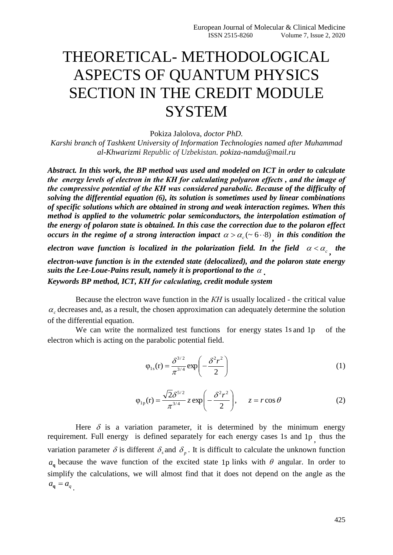## THEORETICAL- METHODOLOGICAL ASPECTS OF QUANTUM PHYSICS SECTION IN THE CREDIT MODULE **SYSTEM**

Pokiza Jalolova, *doctor PhD.*

*Karshi branch of Tashkent University of Information Technologies named after Muhammad al-Khwarizmi Republic of Uzbekistan. pokiza-namdu@mail.ru*

*Abstract. In this work, the BP method was used and modeled on ICT in order to calculate the energy levels of electron in the КН for calculating polyaron effects , and the image of the compressive potential of the КН was considered parabolic. Because of the difficulty of solving the differential equation (6), its solution is sometimes used by linear combinations of specific solutions which are obtained in strong and weak interaction regimes. When this method is applied to the volumetric polar semiconductors, the interpolation estimation of the energy of polaron state is obtained. In this case the correction due to the polaron effect occurs in the regime of a strong interaction impact*  $\alpha > \alpha_c$  (~ 6  $\cdot$  8) in this condition the *electron wave function is localized in the polarization field. In the field*  $\alpha < \alpha_c$  *the electron-wave function is in the extended state (delocalized), and the polaron state energy*  suits the Lee-Loue-Pains result, namely it is proportional to the  $\,\alpha$   $_{\textrm{\scriptsize{-}}}$ *Keywords BP method, ICT, КН for calculating, credit module system*

Because the electron wave function in the *КН* is usually localized - the critical value  $\alpha_c$  decreases and, as a result, the chosen approximation can adequately determine the solution of the differential equation.

We can write the normalized test functions for energy states 1s and 1p of the electron which is acting on the parabolic potential field.

$$
\varphi_{1s}(r) = \frac{\delta^{3/2}}{\pi^{3/4}} \exp\left(-\frac{\delta^2 r^2}{2}\right)
$$
 (1)

$$
\varphi_{1p}(\mathbf{r}) = \frac{\sqrt{2}\delta^{5/2}}{\pi^{3/4}} z \exp\left(-\frac{\delta^2 r^2}{2}\right), \quad z = r \cos \theta \tag{2}
$$

Here  $\delta$  is a variation parameter, it is determined by the minimum energy requirement. Full energy is defined separately for each energy cases 1s and 1p<sub>,</sub> thus the variation parameter  $\delta$  is different  $\delta$ , and  $\delta$ <sub>p</sub>. It is difficult to calculate the unknown function  $a_{q}$  because the wave function of the excited state 1p links with  $\theta$  angular. In order to simplify the calculations, we will almost find that it does not depend on the angle as the  $a_q = a_q$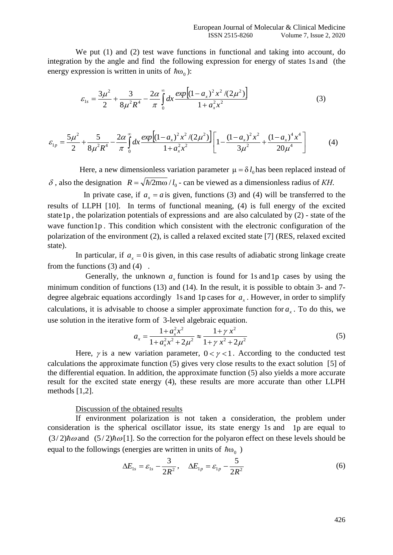We put (1) and (2) test wave functions in functional and taking into account, do integration by the angle and find the following expression for energy of states 1s and (the energy expression is written in units of  $\hbar \omega_0$ ):

$$
\varepsilon_{1s} = \frac{3\mu^2}{2} + \frac{3}{8\mu^2 R^4} - \frac{2\alpha}{\pi} \int_0^\infty dx \frac{\exp\left[ (1 - a_x)^2 x^2 / (2\mu^2) \right]}{1 + a_x^2 x^2}
$$
(3)

$$
\varepsilon_{1p} = \frac{5\mu^2}{2} + \frac{5}{8\mu^2 R^4} - \frac{2\alpha}{\pi} \int_0^\infty dx \frac{\exp\left[ (1 - a_x)^2 x^2 / (2\mu^2) \right]}{1 + a_x^2 x^2} \left[ 1 - \frac{(1 - a_x)^2 x^2}{3\mu^2} + \frac{(1 - a_x)^4 x^4}{20\mu^4} \right] \tag{4}
$$

Here, a new dimensionless variation parameter  $\mu = \delta l_0$  has been replaced instead of  $\delta$ , also the designation  $R = \sqrt{\hbar/2m\omega}/l_0$  - can be viewed as a dimensionless radius of *KH*.

In private case, if  $a_x = a$  is given, functions (3) and (4) will be transferred to the results of LLPH [10]. In terms of functional meaning, (4) is full energy of the excited state 1p , the polarization potentials of expressions and are also calculated by (2) - state of the wave function 1p. This condition which consistent with the electronic configuration of the polarization of the environment (2), is called a relaxed excited state [7] (RES, relaxed excited state).

In particular, if  $a_x = 0$  is given, in this case results of adiabatic strong linkage create from the functions  $(3)$  and  $(4)$ .

Generally, the unknown  $a_x$  function is found for 1s and 1p cases by using the minimum condition of functions (13) and (14). In the result, it is possible to obtain 3- and 7 degree algebraic equations accordingly 1s and 1p cases for  $a_x$ . However, in order to simplify calculations, it is advisable to choose a simpler approximate function for  $a_x$ . To do this, we use solution in the iterative form of 3-level algebraic equation.

$$
a_x = \frac{1 + a_x^2 x^2}{1 + a_x^2 x^2 + 2\mu^2} \approx \frac{1 + \gamma x^2}{1 + \gamma x^2 + 2\mu^2}
$$
(5)

Here,  $\gamma$  is a new variation parameter,  $0 < \gamma < 1$ . According to the conducted test calculations the approximate function (5) gives very close results to the exact solution [5] of the differential equation. In addition, the approximate function (5) also yields a more accurate result for the excited state energy (4), these results are more accurate than other LLPH methods [1,2].

## Discussion of the obtained results

If environment polarization is not taken a consideration, the problem under consideration is the spherical oscillator issue, its state energy 1s and 1p are equal to  $(3/2)\hbar\omega$  and  $(5/2)\hbar\omega$  [1]. So the correction for the polyaron effect on these levels should be equal to the followings (energies are written in units of  $\hbar\omega_0$ )

$$
\Delta E_{1s} = \varepsilon_{1s} - \frac{3}{2R^2}, \quad \Delta E_{1p} = \varepsilon_{1p} - \frac{5}{2R^2}
$$
 (6)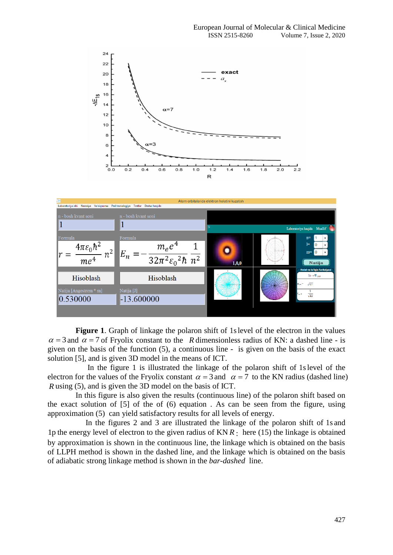



Figure 1. Graph of linkage the polaron shift of 1s level of the electron in the values  $\alpha = 3$  and  $\alpha = 7$  of Fryolix constant to the R dimensionless radius of KN: a dashed line - is given on the basis of the function (5), a continuous line - is given on the basis of the exact solution [5], and is given 3D model in the means of ICT.

In the figure 1 is illustrated the linkage of the polaron shift of 1s level of the electron for the values of the Fryolix constant  $\alpha = 3$  and  $\alpha = 7$  to the KN radius (dashed line) *R* using (5), and is given the 3D model on the basis of ICT.

In this figure is also given the results (continuous line) of the polaron shift based on the exact solution of [5] of the of (6) equation . As can be seen from the figure, using approximation (5) can yield satisfactory results for all levels of energy.

In the figures 2 and 3 are illustrated the linkage of the polaron shift of 1s and 1p the energy level of electron to the given radius of KN *R* : here (15) the linkage is obtained by approximation is shown in the continuous line, the linkage which is obtained on the basis of LLPH method is shown in the dashed line, and the linkage which is obtained on the basis of adiabatic strong linkage method is shown in the *bar-dashed* line.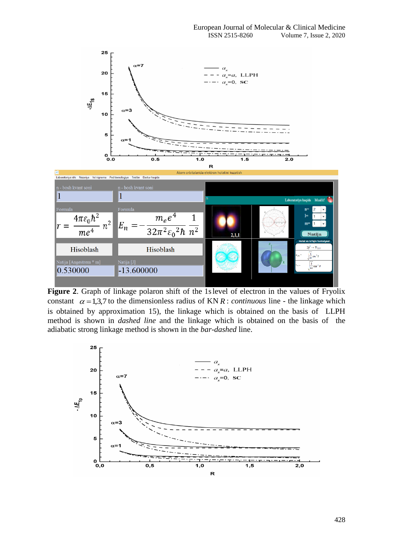

Figure 2. Graph of linkage polaron shift of the 1s level of electron in the values of Fryolix constant  $\alpha = 1,3,7$  to the dimensionless radius of KN R: *continuous* line - the linkage which is obtained by approximation 15), the linkage which is obtained on the basis of LLPH method is shown in *dashed line* and the linkage which is obtained on the basis of the adiabatic strong linkage method is shown in the *bar*-*dashed* line.

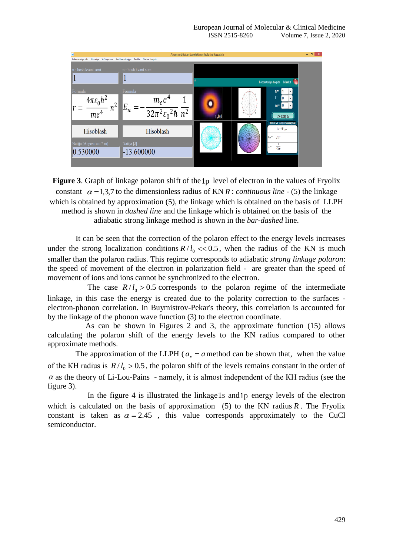

**Figure 3**. Graph of linkage polaron shift of the 1p level of electron in the values of Fryolix constant  $\alpha = 1,3,7$  to the dimensionless radius of KN R : *continuous line* - (5) the linkage which is obtained by approximation (5), the linkage which is obtained on the basis of LLPH method is shown in *dashed line* and the linkage which is obtained on the basis of the adiabatic strong linkage method is shown in the *bar*-*dashed* line.

It can be seen that the correction of the polaron effect to the energy levels increases under the strong localization conditions  $R/l_0 \ll 0.5$ , when the radius of the KN is much smaller than the polaron radius. This regime corresponds to adiabatic *strong linkage polaron*: the speed of movement of the electron in polarization field - are greater than the speed of movement of ions and ions cannot be synchronized to the electron.

The case  $R/I_0 > 0.5$  corresponds to the polaron regime of the intermediate linkage, in this case the energy is created due to the polarity correction to the surfaces electron-phonon correlation. In Buymistrov-Pekar's theory, this correlation is accounted for by the linkage of the phonon wave function (3) to the electron coordinate.

As can be shown in Figures 2 and 3, the approximate function (15) allows calculating the polaron shift of the energy levels to the KN radius compared to other approximate methods.

The approximation of the LLPH ( $a_x = a$  method can be shown that, when the value of the KH radius is  $R/l_0 > 0.5$ , the polaron shift of the levels remains constant in the order of  $\alpha$  as the theory of Li-Lou-Pains - namely, it is almost independent of the KH radius (see the figure 3).

In the figure 4 is illustrated the linkage 1s and 1p energy levels of the electron which is calculated on the basis of approximation  $(5)$  to the KN radius R. The Fryolix constant is taken as  $\alpha = 2.45$ , this value corresponds approximately to the CuCl semiconductor.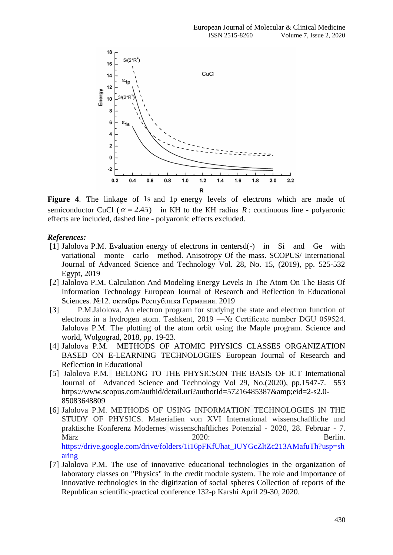

Figure 4. The linkage of 1s and 1p energy levels of electrons which are made of semiconductor CuCl ( $\alpha = 2.45$ ) in KH to the KH radius R: continuous line - polyaronic effects are included, dashed line - polyaronic effects excluded.

## *References:*

- [1] Jalolova P.M. Evaluation energy of electrons in centersd(-) in Si and Ge with variational monte carlo method. Anisotropy Of the mass. SCOPUS/ International Journal of Advanced Science and Technology Vol. 28, No. 15, (2019), pp. 525-532 Egypt, 2019
- [2] Jalolova P.M. Calculation And Modeling Energy Levels In The Atom On The Basis Of Information Technology European Journal of Research and Reflection in Educational Sciences. №12. октябрь Республика Германия. 2019
- [3] P.M.Jalolova. An electron program for studying the state and electron function of electrons in a hydrogen atom. Tashkent, 2019 —№ Certificate number DGU 059524. Jalolova P.M. The plotting of the atom orbit using the Maple program. Science and world, Wolgograd, 2018, pp. 19-23.
- [4] Jalolova P.M. METHODS OF ATOMIC PHYSICS CLASSES ORGANIZATION BASED ON E-LEARNING TECHNOLOGIES European Journal of Research and Reflection in Educational
- [5] Jalolova P.M. BELONG TO THE PHYSICSON THE BASIS OF ICT International Journal of Advanced Science and Technology Vol 29, No.(2020), pp.1547-7. 553 https://www.scopus.com/authid/detail.uri?authorId=57216485387&eid=2-s2.0-85083648809
- [6] Jalolova P.M. METHODS OF USING INFORMATION TECHNOLOGIES IN THE STUDY OF PHYSICS. Materialien von XVI International wissenschaftliche und praktische Konferenz Modernes wissenschaftliches Potenzial - 2020, 28. Februar - 7. März Berlin. [https://drive.google.com/drive/folders/1i16pFKfUhat\\_IUYGcZltZc213AMafuTh?usp=sh](https://drive.google.com/drive/folders/1i16pFKfUhat_IUYGcZltZc213AMafuTh?usp=sharing) [aring](https://drive.google.com/drive/folders/1i16pFKfUhat_IUYGcZltZc213AMafuTh?usp=sharing)
- [7] Jalolova P.M. The use of innovative educational technologies in the organization of laboratory classes on "Physics" in the credit module system. The role and importance of innovative technologies in the digitization of social spheres Collection of reports of the Republican scientific-practical conference 132-p Karshi April 29-30, 2020.